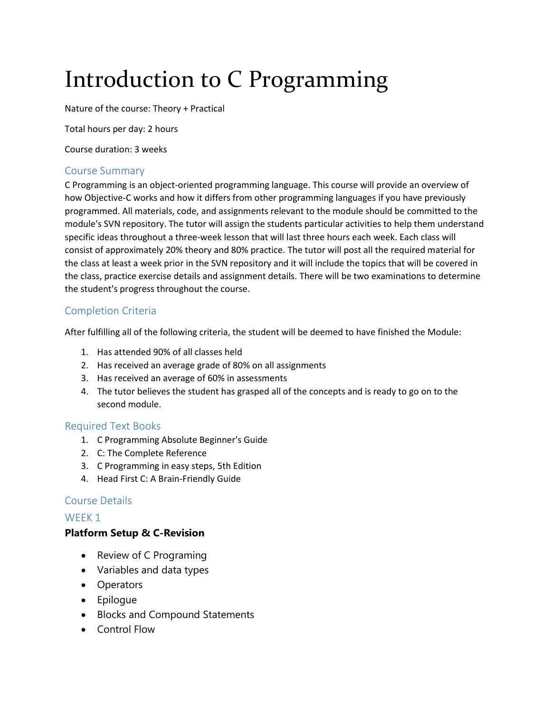# Introduction to C Programming

Nature of the course: Theory + Practical

Total hours per day: 2 hours

Course duration: 3 weeks

#### Course Summary

C Programming is an object-oriented programming language. This course will provide an overview of how Objective-C works and how it differs from other programming languages if you have previously programmed. All materials, code, and assignments relevant to the module should be committed to the module's SVN repository. The tutor will assign the students particular activities to help them understand specific ideas throughout a three-week lesson that will last three hours each week. Each class will consist of approximately 20% theory and 80% practice. The tutor will post all the required material for the class at least a week prior in the SVN repository and it will include the topics that will be covered in the class, practice exercise details and assignment details. There will be two examinations to determine the student's progress throughout the course.

## Completion Criteria

After fulfilling all of the following criteria, the student will be deemed to have finished the Module:

- 1. Has attended 90% of all classes held
- 2. Has received an average grade of 80% on all assignments
- 3. Has received an average of 60% in assessments
- 4. The tutor believes the student has grasped all of the concepts and is ready to go on to the second module.

#### Required Text Books

- 1. C Programming Absolute Beginner's Guide
- 2. C: The Complete Reference
- 3. C Programming in easy steps, 5th Edition
- 4. Head First C: A Brain-Friendly Guide

#### Course Details

#### WEEK 1

#### **Platform Setup & C-Revision**

- Review of C Programing
- Variables and data types
- Operators
- Epilogue
- Blocks and Compound Statements
- Control Flow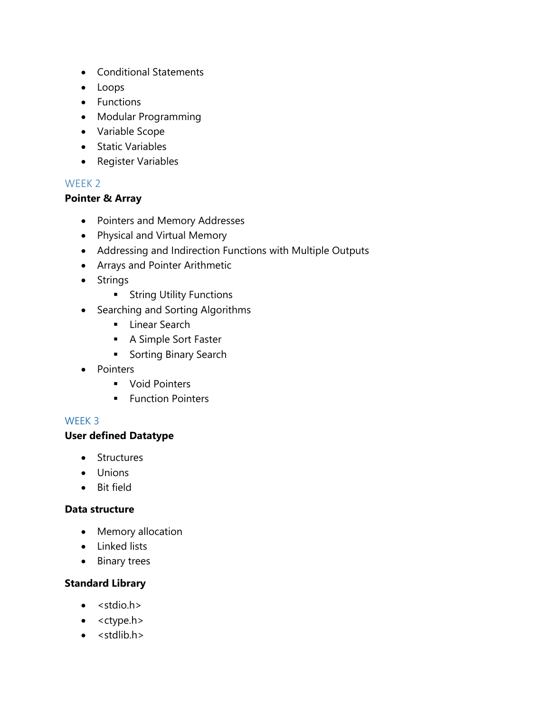- Conditional Statements
- Loops
- Functions
- Modular Programming
- Variable Scope
- Static Variables
- Register Variables

## WEEK 2

#### **Pointer & Array**

- Pointers and Memory Addresses
- Physical and Virtual Memory
- Addressing and Indirection Functions with Multiple Outputs
- Arrays and Pointer Arithmetic
- Strings
	- **String Utility Functions**
- Searching and Sorting Algorithms
	- **Linear Search**
	- **A Simple Sort Faster**
	- **Sorting Binary Search**
- Pointers
	- **•** Void Pointers
	- **Function Pointers**

#### WEEK 3

#### **User defined Datatype**

- Structures
- Unions
- Bit field

#### **Data structure**

- Memory allocation
- Linked lists
- Binary trees

## **Standard Library**

- $\bullet \quad$  < stdio.h >
- $\bullet \quad$  < ctype.h>
- $\bullet$  <stdlib.h>